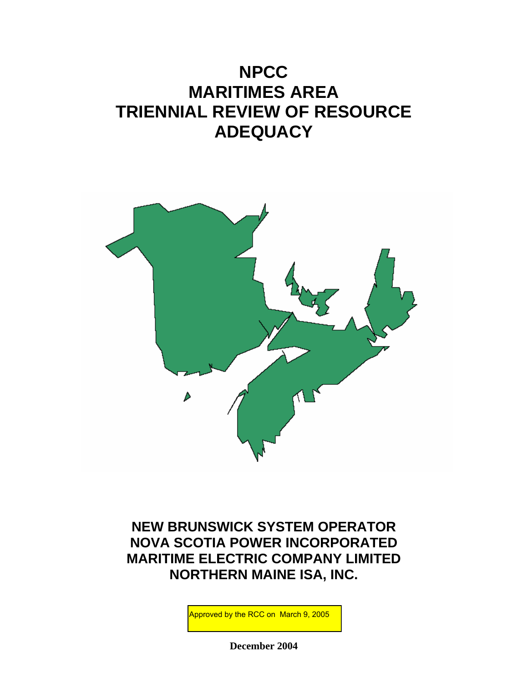# **NPCC MARITIMES AREA TRIENNIAL REVIEW OF RESOURCE ADEQUACY**



**NEW BRUNSWICK SYSTEM OPERATOR NOVA SCOTIA POWER INCORPORATED MARITIME ELECTRIC COMPANY LIMITED NORTHERN MAINE ISA, INC.** 

Approved by the RCC on March 9, 2005

**December 2004**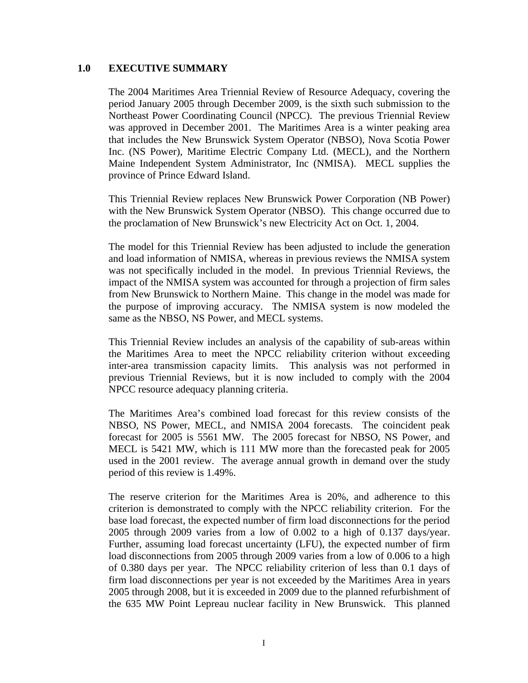### **1.0 EXECUTIVE SUMMARY**

The 2004 Maritimes Area Triennial Review of Resource Adequacy, covering the period January 2005 through December 2009, is the sixth such submission to the Northeast Power Coordinating Council (NPCC). The previous Triennial Review was approved in December 2001. The Maritimes Area is a winter peaking area that includes the New Brunswick System Operator (NBSO), Nova Scotia Power Inc. (NS Power), Maritime Electric Company Ltd. (MECL), and the Northern Maine Independent System Administrator, Inc (NMISA). MECL supplies the province of Prince Edward Island.

This Triennial Review replaces New Brunswick Power Corporation (NB Power) with the New Brunswick System Operator (NBSO). This change occurred due to the proclamation of New Brunswick's new Electricity Act on Oct. 1, 2004.

The model for this Triennial Review has been adjusted to include the generation and load information of NMISA, whereas in previous reviews the NMISA system was not specifically included in the model. In previous Triennial Reviews, the impact of the NMISA system was accounted for through a projection of firm sales from New Brunswick to Northern Maine. This change in the model was made for the purpose of improving accuracy. The NMISA system is now modeled the same as the NBSO, NS Power, and MECL systems.

This Triennial Review includes an analysis of the capability of sub-areas within the Maritimes Area to meet the NPCC reliability criterion without exceeding inter-area transmission capacity limits. This analysis was not performed in previous Triennial Reviews, but it is now included to comply with the 2004 NPCC resource adequacy planning criteria.

The Maritimes Area's combined load forecast for this review consists of the NBSO, NS Power, MECL, and NMISA 2004 forecasts. The coincident peak forecast for 2005 is 5561 MW. The 2005 forecast for NBSO, NS Power, and MECL is 5421 MW, which is 111 MW more than the forecasted peak for 2005 used in the 2001 review. The average annual growth in demand over the study period of this review is 1.49%.

The reserve criterion for the Maritimes Area is 20%, and adherence to this criterion is demonstrated to comply with the NPCC reliability criterion. For the base load forecast, the expected number of firm load disconnections for the period 2005 through 2009 varies from a low of 0.002 to a high of 0.137 days/year. Further, assuming load forecast uncertainty (LFU), the expected number of firm load disconnections from 2005 through 2009 varies from a low of 0.006 to a high of 0.380 days per year. The NPCC reliability criterion of less than 0.1 days of firm load disconnections per year is not exceeded by the Maritimes Area in years 2005 through 2008, but it is exceeded in 2009 due to the planned refurbishment of the 635 MW Point Lepreau nuclear facility in New Brunswick. This planned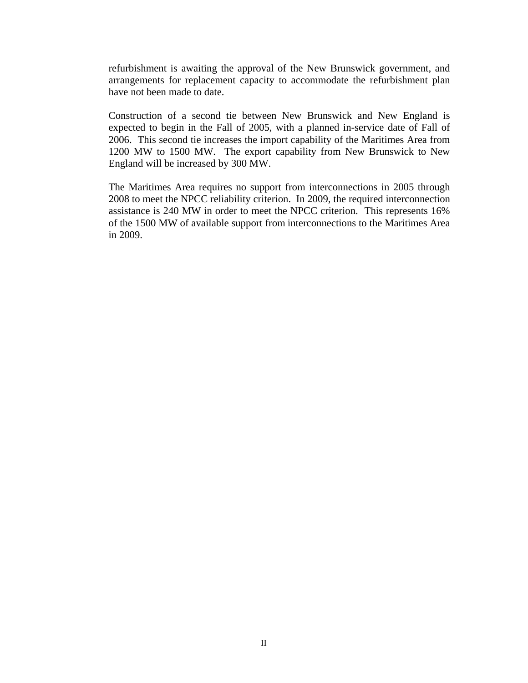refurbishment is awaiting the approval of the New Brunswick government, and arrangements for replacement capacity to accommodate the refurbishment plan have not been made to date.

Construction of a second tie between New Brunswick and New England is expected to begin in the Fall of 2005, with a planned in-service date of Fall of 2006. This second tie increases the import capability of the Maritimes Area from 1200 MW to 1500 MW. The export capability from New Brunswick to New England will be increased by 300 MW.

The Maritimes Area requires no support from interconnections in 2005 through 2008 to meet the NPCC reliability criterion. In 2009, the required interconnection assistance is 240 MW in order to meet the NPCC criterion. This represents 16% of the 1500 MW of available support from interconnections to the Maritimes Area in 2009.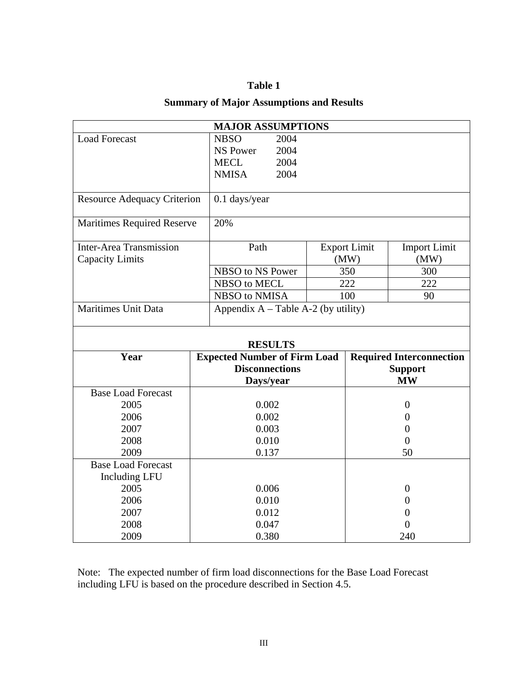### **Table 1**

### **Summary of Major Assumptions and Results**

| <b>MAJOR ASSUMPTIONS</b>           |                                       |  |                     |                                 |  |
|------------------------------------|---------------------------------------|--|---------------------|---------------------------------|--|
| <b>Load Forecast</b>               | <b>NBSO</b><br>2004                   |  |                     |                                 |  |
|                                    | 2004<br><b>NS Power</b>               |  |                     |                                 |  |
|                                    | <b>MECL</b><br>2004                   |  |                     |                                 |  |
|                                    | <b>NMISA</b><br>2004                  |  |                     |                                 |  |
|                                    |                                       |  |                     |                                 |  |
| <b>Resource Adequacy Criterion</b> | $0.1$ days/year                       |  |                     |                                 |  |
| <b>Maritimes Required Reserve</b>  | 20%                                   |  |                     |                                 |  |
| <b>Inter-Area Transmission</b>     | Path                                  |  | <b>Export Limit</b> | <b>Import Limit</b>             |  |
| <b>Capacity Limits</b>             |                                       |  | (MW)                | (MW)                            |  |
|                                    | NBSO to NS Power                      |  | 350                 | 300                             |  |
|                                    | NBSO to MECL                          |  | 222                 | 222                             |  |
|                                    | NBSO to NMISA                         |  | 100                 | 90                              |  |
| <b>Maritimes Unit Data</b>         | Appendix $A$ – Table A-2 (by utility) |  |                     |                                 |  |
|                                    | <b>RESULTS</b>                        |  |                     |                                 |  |
| Year                               | <b>Expected Number of Firm Load</b>   |  |                     | <b>Required Interconnection</b> |  |
|                                    | <b>Disconnections</b>                 |  |                     | <b>Support</b>                  |  |
|                                    | Days/year                             |  |                     | <b>MW</b>                       |  |
| <b>Base Load Forecast</b>          |                                       |  |                     |                                 |  |
| 2005                               | 0.002                                 |  |                     | $\overline{0}$                  |  |
| 2006                               | 0.002                                 |  | $\theta$            |                                 |  |
| 2007                               | 0.003                                 |  | $\boldsymbol{0}$    |                                 |  |
| 2008                               | 0.010                                 |  | $\overline{0}$      |                                 |  |
| 2009                               | 0.137                                 |  | 50                  |                                 |  |
| <b>Base Load Forecast</b>          |                                       |  |                     |                                 |  |
| <b>Including LFU</b>               |                                       |  |                     |                                 |  |
| 2005                               | 0.006                                 |  | $\theta$            |                                 |  |
| 2006                               | 0.010                                 |  |                     | $\theta$                        |  |
| 2007                               |                                       |  |                     |                                 |  |
|                                    | 0.012                                 |  |                     | $\Omega$                        |  |
| 2008                               | 0.047<br>0.380                        |  |                     | $\overline{0}$<br>240           |  |

Note: The expected number of firm load disconnections for the Base Load Forecast including LFU is based on the procedure described in Section 4.5.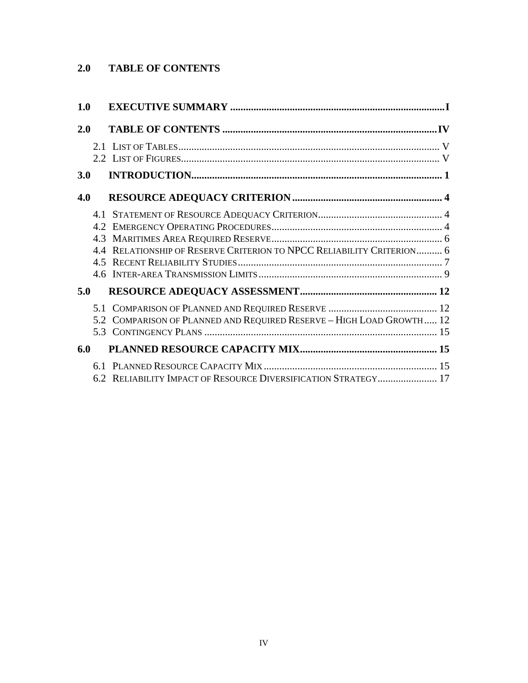# **2.0 TABLE OF CONTENTS**

| 1.0 |                                                                       |  |
|-----|-----------------------------------------------------------------------|--|
| 2.0 |                                                                       |  |
|     |                                                                       |  |
| 3.0 |                                                                       |  |
| 4.0 |                                                                       |  |
|     | 4.4 RELATIONSHIP OF RESERVE CRITERION TO NPCC RELIABILITY CRITERION 6 |  |
| 5.0 |                                                                       |  |
|     | 5.2 COMPARISON OF PLANNED AND REQUIRED RESERVE - HIGH LOAD GROWTH 12  |  |
| 6.0 |                                                                       |  |
|     | 6.2 RELIABILITY IMPACT OF RESOURCE DIVERSIFICATION STRATEGY 17        |  |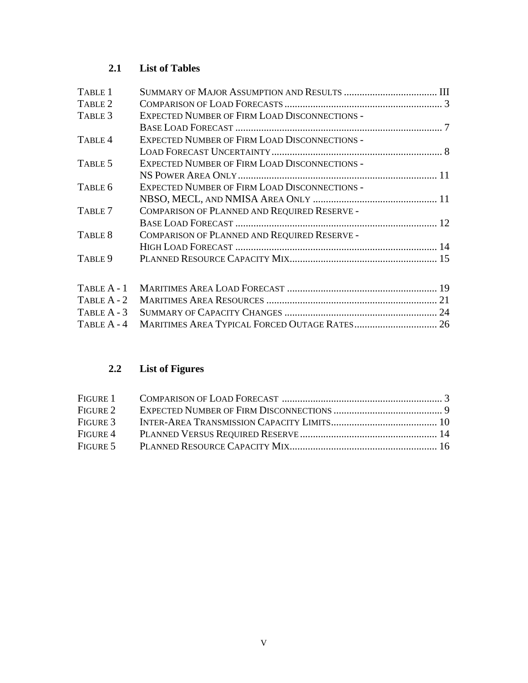# **2.1 List of Tables**

| TABLE 1            |                                                      |  |
|--------------------|------------------------------------------------------|--|
| TABLE 2            |                                                      |  |
| TABLE 3            | <b>EXPECTED NUMBER OF FIRM LOAD DISCONNECTIONS -</b> |  |
|                    |                                                      |  |
| TABLE <sub>4</sub> | <b>EXPECTED NUMBER OF FIRM LOAD DISCONNECTIONS -</b> |  |
|                    |                                                      |  |
| TABLE 5            | EXPECTED NUMBER OF FIRM LOAD DISCONNECTIONS -        |  |
|                    |                                                      |  |
| TABLE 6            | <b>EXPECTED NUMBER OF FIRM LOAD DISCONNECTIONS -</b> |  |
|                    |                                                      |  |
| TABLE 7            | COMPARISON OF PLANNED AND REQUIRED RESERVE -         |  |
|                    |                                                      |  |
| TABLE 8            | COMPARISON OF PLANNED AND REQUIRED RESERVE -         |  |
|                    |                                                      |  |
| TABLE 9            |                                                      |  |
| TABLE A - 1        |                                                      |  |
| TABLE A - 2        |                                                      |  |
| TABLE $A - 3$      |                                                      |  |
| TABLE A - 4        |                                                      |  |

# **2.2 List of Figures**

TABLE A - 4 MARITIMES AREA TYPICAL FORCED OUTAGE RATES................................ 26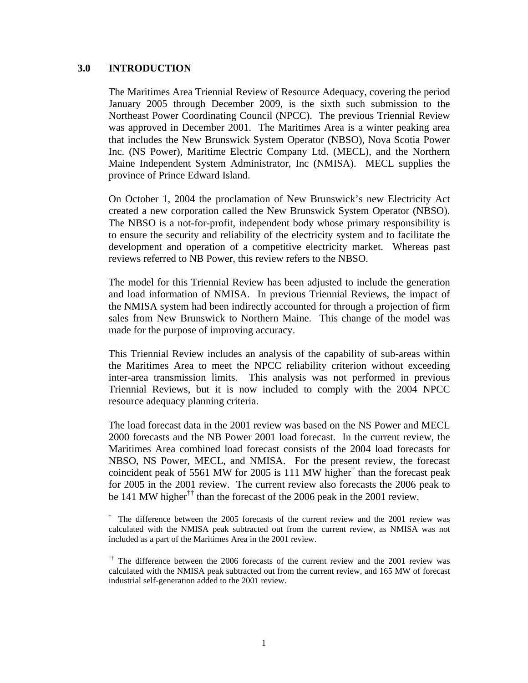### **3.0 INTRODUCTION**

The Maritimes Area Triennial Review of Resource Adequacy, covering the period January 2005 through December 2009, is the sixth such submission to the Northeast Power Coordinating Council (NPCC). The previous Triennial Review was approved in December 2001. The Maritimes Area is a winter peaking area that includes the New Brunswick System Operator (NBSO), Nova Scotia Power Inc. (NS Power), Maritime Electric Company Ltd. (MECL), and the Northern Maine Independent System Administrator, Inc (NMISA). MECL supplies the province of Prince Edward Island.

On October 1, 2004 the proclamation of New Brunswick's new Electricity Act created a new corporation called the New Brunswick System Operator (NBSO). The NBSO is a not-for-profit, independent body whose primary responsibility is to ensure the security and reliability of the electricity system and to facilitate the development and operation of a competitive electricity market. Whereas past reviews referred to NB Power, this review refers to the NBSO.

The model for this Triennial Review has been adjusted to include the generation and load information of NMISA. In previous Triennial Reviews, the impact of the NMISA system had been indirectly accounted for through a projection of firm sales from New Brunswick to Northern Maine. This change of the model was made for the purpose of improving accuracy.

This Triennial Review includes an analysis of the capability of sub-areas within the Maritimes Area to meet the NPCC reliability criterion without exceeding inter-area transmission limits. This analysis was not performed in previous Triennial Reviews, but it is now included to comply with the 2004 NPCC resource adequacy planning criteria.

The load forecast data in the 2001 review was based on the NS Power and MECL 2000 forecasts and the NB Power 2001 load forecast. In the current review, the Maritimes Area combined load forecast consists of the 2004 load forecasts for NBSO, NS Power, MECL, and NMISA. For the present review, the forecast coincident peak of 5561 MW for 2005 is 111 MW higher<sup>†</sup> than the forecast peak for 2005 in the 2001 review. The current review also forecasts the 2006 peak to be 141 MW higher<sup>††</sup> than the forecast of the 2006 peak in the 2001 review.

<sup>†</sup> The difference between the 2005 forecasts of the current review and the 2001 review was calculated with the NMISA peak subtracted out from the current review, as NMISA was not included as a part of the Maritimes Area in the 2001 review.

<sup>&</sup>lt;sup>††</sup> The difference between the 2006 forecasts of the current review and the 2001 review was calculated with the NMISA peak subtracted out from the current review, and 165 MW of forecast industrial self-generation added to the 2001 review.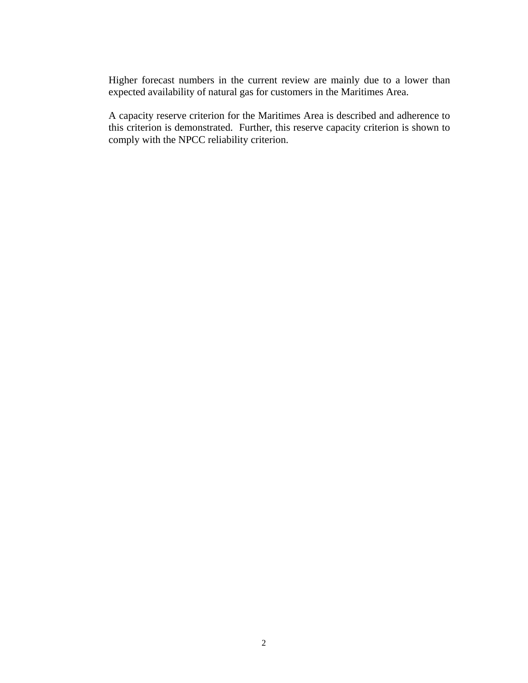Higher forecast numbers in the current review are mainly due to a lower than expected availability of natural gas for customers in the Maritimes Area.

A capacity reserve criterion for the Maritimes Area is described and adherence to this criterion is demonstrated. Further, this reserve capacity criterion is shown to comply with the NPCC reliability criterion.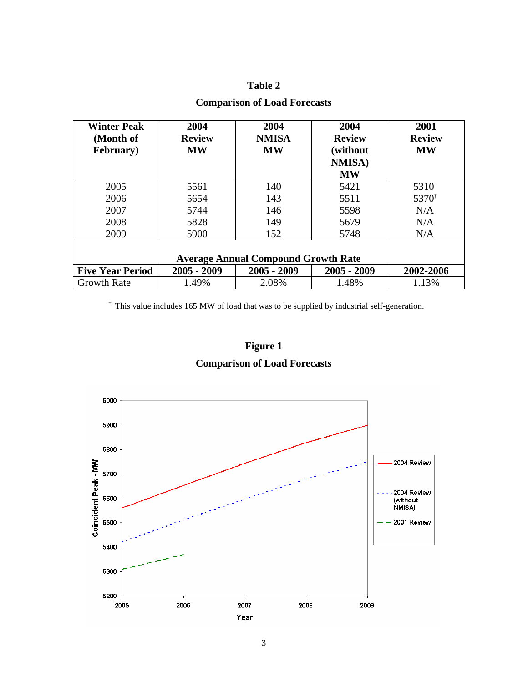### **Table 2**

| <b>Winter Peak</b><br>(Month of<br><b>February</b> ) | 2004<br><b>Review</b><br><b>MW</b> | 2004<br><b>NMISA</b><br><b>MW</b> | 2004<br><b>Review</b><br>(without)<br><b>NMISA</b> )<br><b>MW</b> | 2001<br><b>Review</b><br><b>MW</b>   |  |  |  |  |
|------------------------------------------------------|------------------------------------|-----------------------------------|-------------------------------------------------------------------|--------------------------------------|--|--|--|--|
| 2005                                                 | 5561                               | 140                               | 5421                                                              | 5310                                 |  |  |  |  |
| 2006                                                 | 5654                               | 143                               | 5511                                                              | 5370 <sup><math>\dagger</math></sup> |  |  |  |  |
| 2007                                                 | 5744                               | 146                               | 5598                                                              | N/A                                  |  |  |  |  |
| 2008                                                 | 5828                               | 149                               | 5679                                                              | N/A                                  |  |  |  |  |
| 2009                                                 | 5900                               | 152                               | 5748                                                              | N/A                                  |  |  |  |  |
| <b>Average Annual Compound Growth Rate</b>           |                                    |                                   |                                                                   |                                      |  |  |  |  |
| <b>Five Year Period</b>                              | $2005 - 2009$                      | $2005 - 2009$                     | $2005 - 2009$                                                     | 2002-2006                            |  |  |  |  |
| <b>Growth Rate</b>                                   | 1.49%                              | 2.08%                             | 1.48%                                                             | 1.13%                                |  |  |  |  |

### **Comparison of Load Forecasts**

† This value includes 165 MW of load that was to be supplied by industrial self-generation.



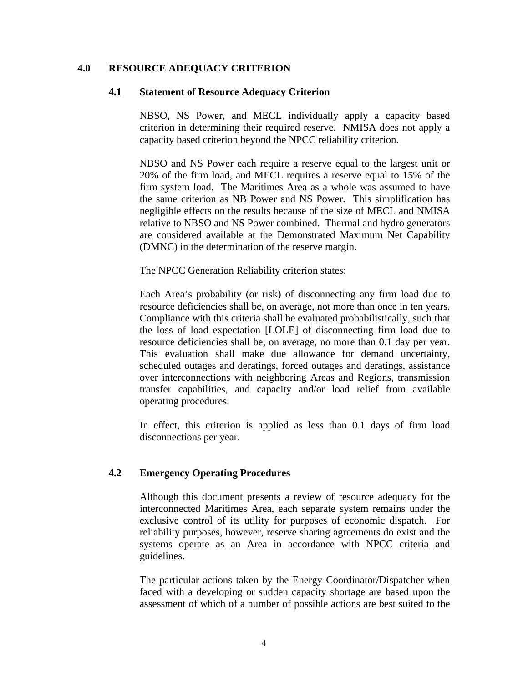### **4.0 RESOURCE ADEQUACY CRITERION**

#### **4.1 Statement of Resource Adequacy Criterion**

NBSO, NS Power, and MECL individually apply a capacity based criterion in determining their required reserve. NMISA does not apply a capacity based criterion beyond the NPCC reliability criterion.

NBSO and NS Power each require a reserve equal to the largest unit or 20% of the firm load, and MECL requires a reserve equal to 15% of the firm system load. The Maritimes Area as a whole was assumed to have the same criterion as NB Power and NS Power. This simplification has negligible effects on the results because of the size of MECL and NMISA relative to NBSO and NS Power combined. Thermal and hydro generators are considered available at the Demonstrated Maximum Net Capability (DMNC) in the determination of the reserve margin.

The NPCC Generation Reliability criterion states:

Each Area's probability (or risk) of disconnecting any firm load due to resource deficiencies shall be, on average, not more than once in ten years. Compliance with this criteria shall be evaluated probabilistically, such that the loss of load expectation [LOLE] of disconnecting firm load due to resource deficiencies shall be, on average, no more than 0.1 day per year. This evaluation shall make due allowance for demand uncertainty, scheduled outages and deratings, forced outages and deratings, assistance over interconnections with neighboring Areas and Regions, transmission transfer capabilities, and capacity and/or load relief from available operating procedures.

In effect, this criterion is applied as less than 0.1 days of firm load disconnections per year.

### **4.2 Emergency Operating Procedures**

Although this document presents a review of resource adequacy for the interconnected Maritimes Area, each separate system remains under the exclusive control of its utility for purposes of economic dispatch. For reliability purposes, however, reserve sharing agreements do exist and the systems operate as an Area in accordance with NPCC criteria and guidelines.

The particular actions taken by the Energy Coordinator/Dispatcher when faced with a developing or sudden capacity shortage are based upon the assessment of which of a number of possible actions are best suited to the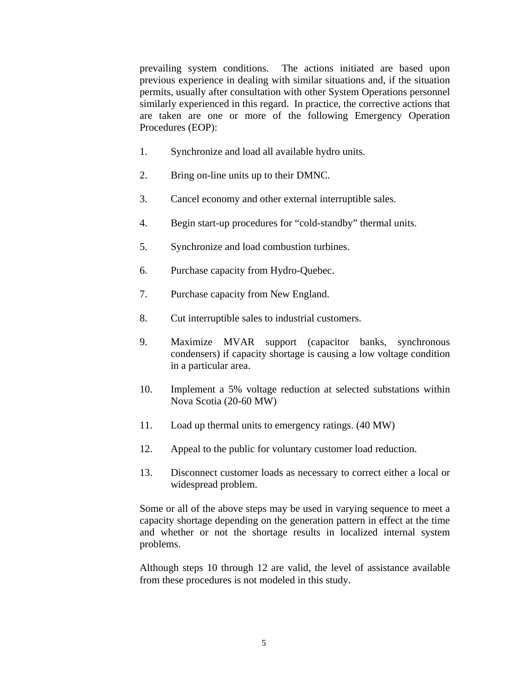prevailing system conditions. The actions initiated are based upon previous experience in dealing with similar situations and, if the situation permits, usually after consultation with other System Operations personnel similarly experienced in this regard. In practice, the corrective actions that are taken are one or more of the following Emergency Operation Procedures (EOP):

- 1. Synchronize and load all available hydro units.
- 2. Bring on-line units up to their DMNC.
- 3. Cancel economy and other external interruptible sales.
- 4. Begin start-up procedures for "cold-standby" thermal units.
- 5. Synchronize and load combustion turbines.
- 6. Purchase capacity from Hydro-Quebec.
- 7. Purchase capacity from New England.
- 8. Cut interruptible sales to industrial customers.
- 9. Maximize MVAR support (capacitor banks, synchronous condensers) if capacity shortage is causing a low voltage condition in a particular area.
- 10. Implement a 5% voltage reduction at selected substations within Nova Scotia (20-60 MW)
- 11. Load up thermal units to emergency ratings. (40 MW)
- 12. Appeal to the public for voluntary customer load reduction.
- 13. Disconnect customer loads as necessary to correct either a local or widespread problem.

Some or all of the above steps may be used in varying sequence to meet a capacity shortage depending on the generation pattern in effect at the time and whether or not the shortage results in localized internal system problems.

Although steps 10 through 12 are valid, the level of assistance available from these procedures is not modeled in this study.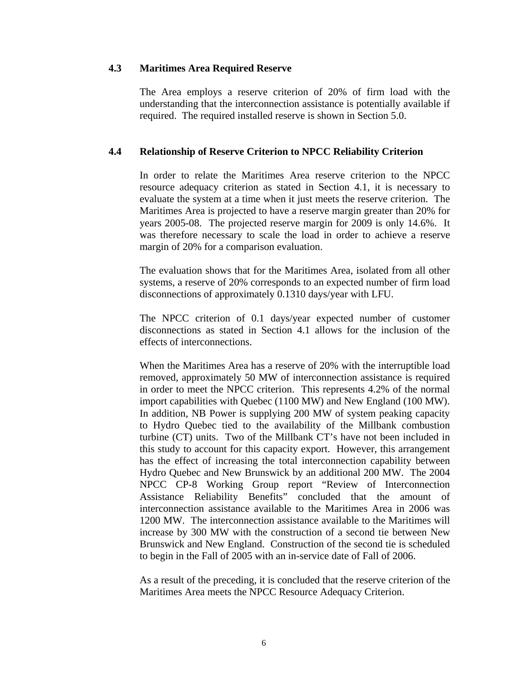### **4.3 Maritimes Area Required Reserve**

The Area employs a reserve criterion of 20% of firm load with the understanding that the interconnection assistance is potentially available if required. The required installed reserve is shown in Section 5.0.

### **4.4 Relationship of Reserve Criterion to NPCC Reliability Criterion**

In order to relate the Maritimes Area reserve criterion to the NPCC resource adequacy criterion as stated in Section 4.1, it is necessary to evaluate the system at a time when it just meets the reserve criterion. The Maritimes Area is projected to have a reserve margin greater than 20% for years 2005-08. The projected reserve margin for 2009 is only 14.6%. It was therefore necessary to scale the load in order to achieve a reserve margin of 20% for a comparison evaluation.

The evaluation shows that for the Maritimes Area, isolated from all other systems, a reserve of 20% corresponds to an expected number of firm load disconnections of approximately 0.1310 days/year with LFU.

The NPCC criterion of 0.1 days/year expected number of customer disconnections as stated in Section 4.1 allows for the inclusion of the effects of interconnections.

When the Maritimes Area has a reserve of 20% with the interruptible load removed, approximately 50 MW of interconnection assistance is required in order to meet the NPCC criterion. This represents 4.2% of the normal import capabilities with Quebec (1100 MW) and New England (100 MW). In addition, NB Power is supplying 200 MW of system peaking capacity to Hydro Quebec tied to the availability of the Millbank combustion turbine (CT) units. Two of the Millbank CT's have not been included in this study to account for this capacity export. However, this arrangement has the effect of increasing the total interconnection capability between Hydro Quebec and New Brunswick by an additional 200 MW. The 2004 NPCC CP-8 Working Group report "Review of Interconnection Assistance Reliability Benefits" concluded that the amount of interconnection assistance available to the Maritimes Area in 2006 was 1200 MW. The interconnection assistance available to the Maritimes will increase by 300 MW with the construction of a second tie between New Brunswick and New England. Construction of the second tie is scheduled to begin in the Fall of 2005 with an in-service date of Fall of 2006.

As a result of the preceding, it is concluded that the reserve criterion of the Maritimes Area meets the NPCC Resource Adequacy Criterion.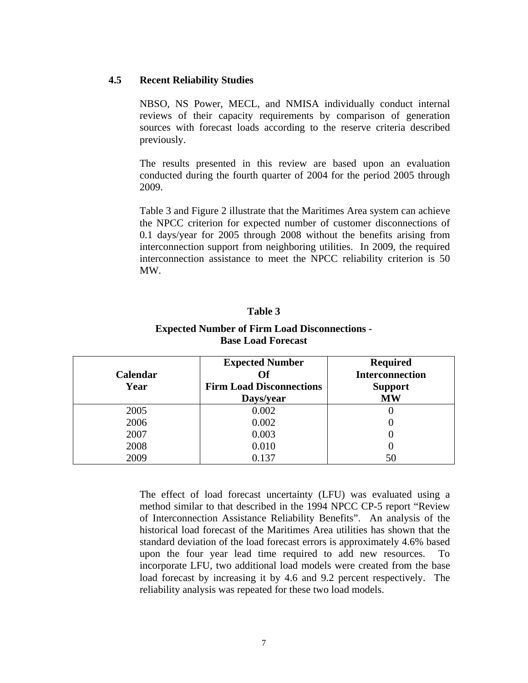### **4.5 Recent Reliability Studies**

NBSO, NS Power, MECL, and NMISA individually conduct internal reviews of their capacity requirements by comparison of generation sources with forecast loads according to the reserve criteria described previously.

The results presented in this review are based upon an evaluation conducted during the fourth quarter of 2004 for the period 2005 through 2009.

Table 3 and Figure 2 illustrate that the Maritimes Area system can achieve the NPCC criterion for expected number of customer disconnections of 0.1 days/year for 2005 through 2008 without the benefits arising from interconnection support from neighboring utilities. In 2009, the required interconnection assistance to meet the NPCC reliability criterion is 50 MW.

#### **Table 3**

### **Expected Number of Firm Load Disconnections - Base Load Forecast**

|          | <b>Expected Number</b>          | <b>Required</b>        |
|----------|---------------------------------|------------------------|
| Calendar | Of                              | <b>Interconnection</b> |
| Year     | <b>Firm Load Disconnections</b> | <b>Support</b>         |
|          | Days/year                       | <b>MW</b>              |
| 2005     | 0.002                           |                        |
| 2006     | 0.002                           |                        |
| 2007     | 0.003                           |                        |
| 2008     | 0.010                           |                        |
| 2009     | 0.137                           | 50                     |

The effect of load forecast uncertainty (LFU) was evaluated using a method similar to that described in the 1994 NPCC CP-5 report "Review of Interconnection Assistance Reliability Benefits". An analysis of the historical load forecast of the Maritimes Area utilities has shown that the standard deviation of the load forecast errors is approximately 4.6% based upon the four year lead time required to add new resources. To incorporate LFU, two additional load models were created from the base load forecast by increasing it by 4.6 and 9.2 percent respectively. The reliability analysis was repeated for these two load models.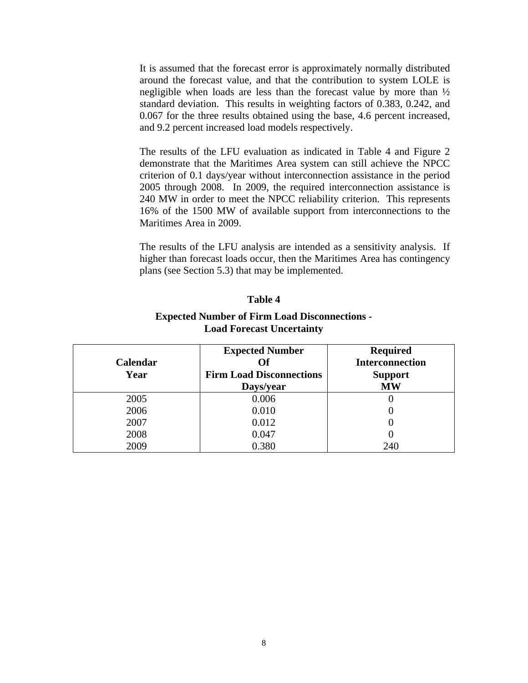It is assumed that the forecast error is approximately normally distributed around the forecast value, and that the contribution to system LOLE is negligible when loads are less than the forecast value by more than ½ standard deviation. This results in weighting factors of 0.383, 0.242, and 0.067 for the three results obtained using the base, 4.6 percent increased, and 9.2 percent increased load models respectively.

The results of the LFU evaluation as indicated in Table 4 and Figure 2 demonstrate that the Maritimes Area system can still achieve the NPCC criterion of 0.1 days/year without interconnection assistance in the period 2005 through 2008. In 2009, the required interconnection assistance is 240 MW in order to meet the NPCC reliability criterion. This represents 16% of the 1500 MW of available support from interconnections to the Maritimes Area in 2009.

The results of the LFU analysis are intended as a sensitivity analysis. If higher than forecast loads occur, then the Maritimes Area has contingency plans (see Section 5.3) that may be implemented.

#### **Table 4**

#### **Expected Number of Firm Load Disconnections - Load Forecast Uncertainty**

| Calendar<br>Year | <b>Expected Number</b><br>Оf<br><b>Firm Load Disconnections</b> | <b>Required</b><br><b>Interconnection</b><br><b>Support</b> |
|------------------|-----------------------------------------------------------------|-------------------------------------------------------------|
|                  | Days/year                                                       | <b>MW</b>                                                   |
| 2005             | 0.006                                                           |                                                             |
| 2006             | 0.010                                                           |                                                             |
| 2007             | 0.012                                                           |                                                             |
| 2008             | 0.047                                                           |                                                             |
| 2009             | 0.380                                                           | 240                                                         |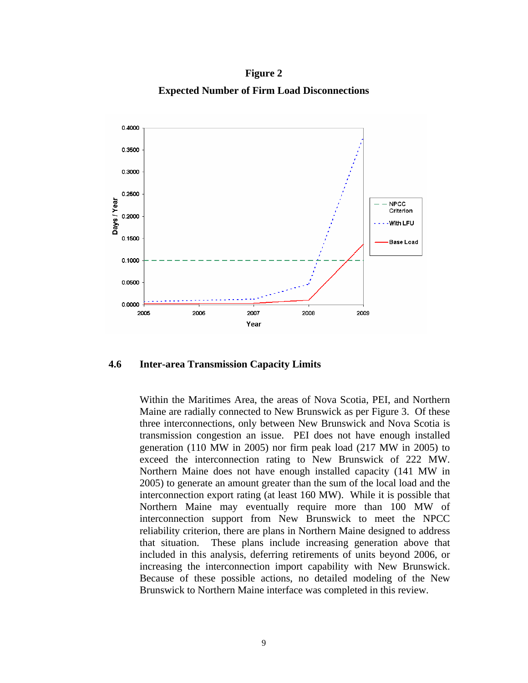**Figure 2 Expected Number of Firm Load Disconnections** 



**4.6 Inter-area Transmission Capacity Limits**

Within the Maritimes Area, the areas of Nova Scotia, PEI, and Northern Maine are radially connected to New Brunswick as per Figure 3. Of these three interconnections, only between New Brunswick and Nova Scotia is transmission congestion an issue. PEI does not have enough installed generation (110 MW in 2005) nor firm peak load (217 MW in 2005) to exceed the interconnection rating to New Brunswick of 222 MW. Northern Maine does not have enough installed capacity (141 MW in 2005) to generate an amount greater than the sum of the local load and the interconnection export rating (at least 160 MW). While it is possible that Northern Maine may eventually require more than 100 MW of interconnection support from New Brunswick to meet the NPCC reliability criterion, there are plans in Northern Maine designed to address that situation. These plans include increasing generation above that included in this analysis, deferring retirements of units beyond 2006, or increasing the interconnection import capability with New Brunswick. Because of these possible actions, no detailed modeling of the New Brunswick to Northern Maine interface was completed in this review.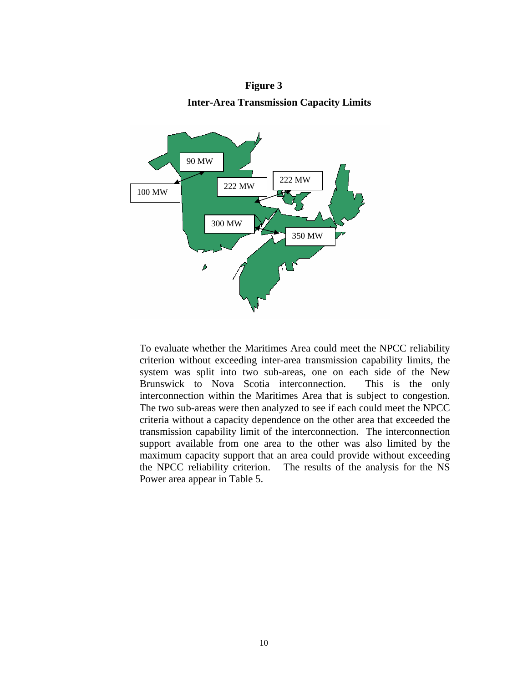



To evaluate whether the Maritimes Area could meet the NPCC reliability criterion without exceeding inter-area transmission capability limits, the system was split into two sub-areas, one on each side of the New Brunswick to Nova Scotia interconnection. This is the only interconnection within the Maritimes Area that is subject to congestion. The two sub-areas were then analyzed to see if each could meet the NPCC criteria without a capacity dependence on the other area that exceeded the transmission capability limit of the interconnection. The interconnection support available from one area to the other was also limited by the maximum capacity support that an area could provide without exceeding the NPCC reliability criterion. The results of the analysis for the NS Power area appear in Table 5.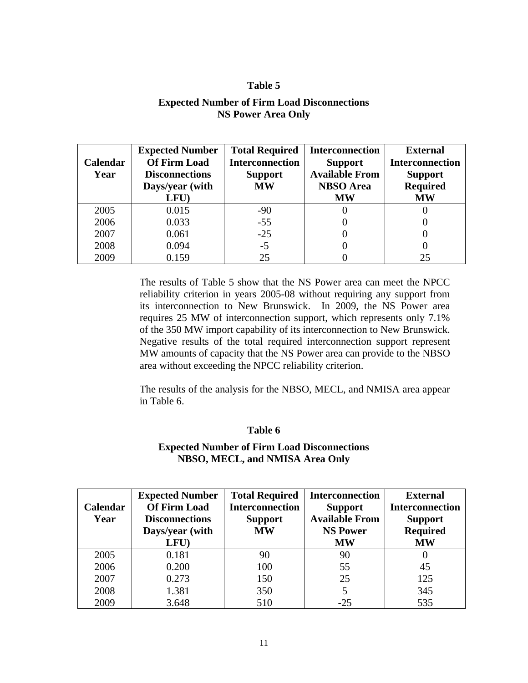### **Table 5**

### **Expected Number of Firm Load Disconnections NS Power Area Only**

| <b>Calendar</b> | <b>Expected Number</b><br><b>Of Firm Load</b> | <b>Total Required</b><br><b>Interconnection</b> | <b>Interconnection</b><br><b>Support</b>  | <b>External</b><br><b>Interconnection</b> |
|-----------------|-----------------------------------------------|-------------------------------------------------|-------------------------------------------|-------------------------------------------|
| Year            | <b>Disconnections</b>                         | <b>Support</b><br><b>MW</b>                     | <b>Available From</b><br><b>NBSO</b> Area | <b>Support</b><br><b>Required</b>         |
|                 | Days/year (with                               |                                                 |                                           |                                           |
|                 | LFU)                                          |                                                 | <b>MW</b>                                 | <b>MW</b>                                 |
| 2005            | 0.015                                         | $-90$                                           |                                           |                                           |
| 2006            | 0.033                                         | $-55$                                           |                                           |                                           |
| 2007            | 0.061                                         | $-25$                                           |                                           |                                           |
| 2008            | 0.094                                         | $-5$                                            |                                           |                                           |
| 2009            | 0.159                                         | 25                                              |                                           | 25                                        |

The results of Table 5 show that the NS Power area can meet the NPCC reliability criterion in years 2005-08 without requiring any support from its interconnection to New Brunswick. In 2009, the NS Power area requires 25 MW of interconnection support, which represents only 7.1% of the 350 MW import capability of its interconnection to New Brunswick. Negative results of the total required interconnection support represent MW amounts of capacity that the NS Power area can provide to the NBSO area without exceeding the NPCC reliability criterion.

The results of the analysis for the NBSO, MECL, and NMISA area appear in Table 6.

#### **Table 6**

### **Expected Number of Firm Load Disconnections NBSO, MECL, and NMISA Area Only**

|                 | <b>Expected Number</b> | <b>Total Required</b>  | Interconnection       | <b>External</b>        |
|-----------------|------------------------|------------------------|-----------------------|------------------------|
| <b>Calendar</b> | <b>Of Firm Load</b>    | <b>Interconnection</b> | <b>Support</b>        | <b>Interconnection</b> |
| Year            | <b>Disconnections</b>  | <b>Support</b>         | <b>Available From</b> | <b>Support</b>         |
|                 | Days/year (with        | <b>MW</b>              | <b>NS Power</b>       | <b>Required</b>        |
|                 | LFU)                   |                        | <b>MW</b>             | <b>MW</b>              |
| 2005            | 0.181                  | 90                     | 90                    |                        |
| 2006            | 0.200                  | 100                    | 55                    | 45                     |
| 2007            | 0.273                  | 150                    | 25                    | 125                    |
| 2008            | 1.381                  | 350                    |                       | 345                    |
| 2009            | 3.648                  | 510                    | $-25$                 | 535                    |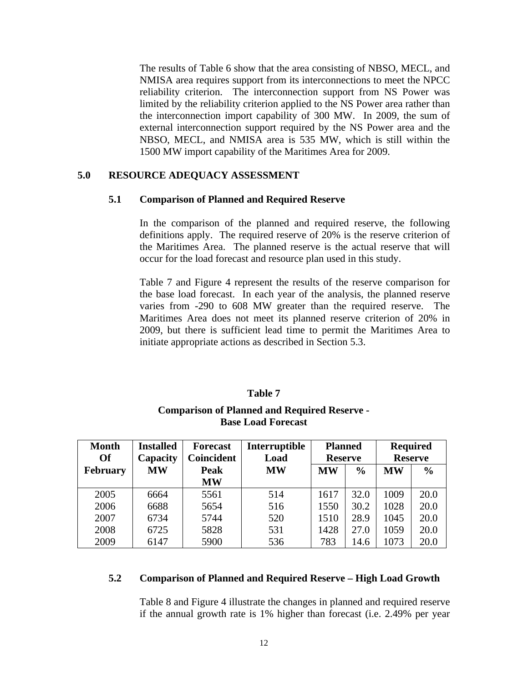The results of Table 6 show that the area consisting of NBSO, MECL, and NMISA area requires support from its interconnections to meet the NPCC reliability criterion. The interconnection support from NS Power was limited by the reliability criterion applied to the NS Power area rather than the interconnection import capability of 300 MW. In 2009, the sum of external interconnection support required by the NS Power area and the NBSO, MECL, and NMISA area is 535 MW, which is still within the 1500 MW import capability of the Maritimes Area for 2009.

### **5.0 RESOURCE ADEQUACY ASSESSMENT**

### **5.1 Comparison of Planned and Required Reserve**

In the comparison of the planned and required reserve, the following definitions apply. The required reserve of 20% is the reserve criterion of the Maritimes Area. The planned reserve is the actual reserve that will occur for the load forecast and resource plan used in this study.

Table 7 and Figure 4 represent the results of the reserve comparison for the base load forecast. In each year of the analysis, the planned reserve varies from -290 to 608 MW greater than the required reserve. The Maritimes Area does not meet its planned reserve criterion of 20% in 2009, but there is sufficient lead time to permit the Maritimes Area to initiate appropriate actions as described in Section 5.3.

#### **Table 7**

### **Comparison of Planned and Required Reserve - Base Load Forecast**

| <b>Month</b><br><b>Of</b> | <b>Installed</b><br>Capacity | <b>Forecast</b><br><b>Coincident</b> | Interruptible<br>Load                   | <b>Planned</b><br><b>Reserve</b> |           | <b>Required</b><br><b>Reserve</b> |      |
|---------------------------|------------------------------|--------------------------------------|-----------------------------------------|----------------------------------|-----------|-----------------------------------|------|
| <b>February</b>           | <b>MW</b>                    | Peak                                 | <b>MW</b><br><b>MW</b><br>$\frac{6}{6}$ |                                  | <b>MW</b> | $\frac{6}{6}$                     |      |
|                           |                              | <b>MW</b>                            |                                         |                                  |           |                                   |      |
| 2005                      | 6664                         | 5561                                 | 514                                     | 1617                             | 32.0      | 1009                              | 20.0 |
| 2006                      | 6688                         | 5654                                 | 516                                     | 1550                             | 30.2      | 1028                              | 20.0 |
| 2007                      | 6734                         | 5744                                 | 520                                     | 1510                             | 28.9      | 1045                              | 20.0 |
| 2008                      | 6725                         | 5828                                 | 531                                     | 1428                             | 27.0      | 1059                              | 20.0 |
| 2009                      | 6147                         | 5900                                 | 536                                     | 783                              | 14.6      | 1073                              | 20.0 |

#### **5.2 Comparison of Planned and Required Reserve – High Load Growth**

Table 8 and Figure 4 illustrate the changes in planned and required reserve if the annual growth rate is 1% higher than forecast (i.e. 2.49% per year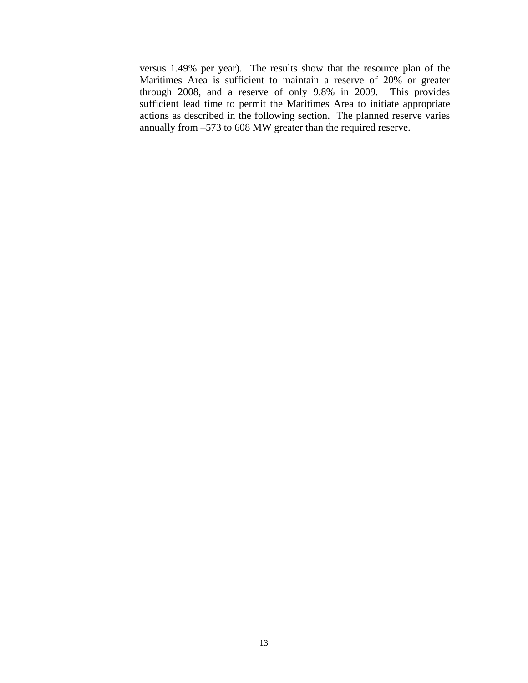versus 1.49% per year). The results show that the resource plan of the Maritimes Area is sufficient to maintain a reserve of 20% or greater through 2008, and a reserve of only 9.8% in 2009. This provides sufficient lead time to permit the Maritimes Area to initiate appropriate actions as described in the following section. The planned reserve varies annually from –573 to 608 MW greater than the required reserve.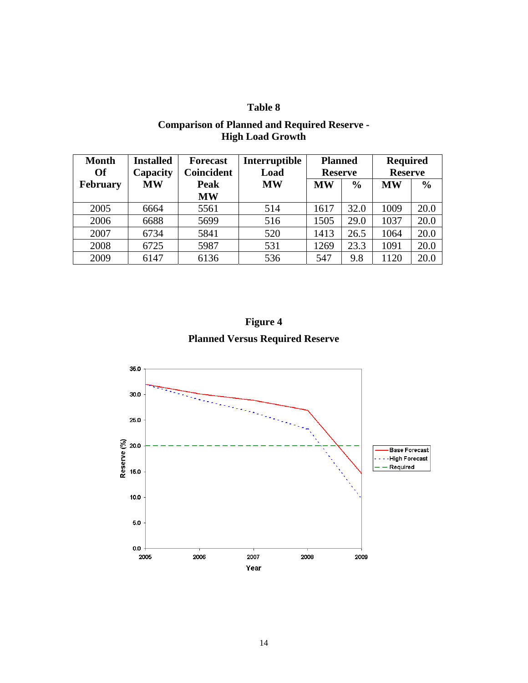## **Table 8**

| <b>Month</b><br><b>Of</b> | <b>Installed</b><br>Capacity | <b>Forecast</b><br><b>Coincident</b> | Interruptible<br>Load | <b>Planned</b><br><b>Reserve</b> |               | <b>Required</b><br><b>Reserve</b> |               |
|---------------------------|------------------------------|--------------------------------------|-----------------------|----------------------------------|---------------|-----------------------------------|---------------|
| February                  | <b>MW</b>                    | Peak<br><b>MW</b>                    | <b>MW</b>             | <b>MW</b>                        | $\frac{6}{6}$ | <b>MW</b>                         | $\frac{0}{0}$ |
| 2005                      | 6664                         | 5561                                 | 514                   | 1617                             | 32.0          | 1009                              | 20.0          |
| 2006                      | 6688                         | 5699                                 | 516                   | 1505                             | 29.0          | 1037                              | 20.0          |
| 2007                      | 6734                         | 5841                                 | 520                   | 1413                             | 26.5          | 1064                              | 20.0          |
| 2008                      | 6725                         | 5987                                 | 531                   | 1269                             | 23.3          | 1091                              | 20.0          |
| 2009                      | 6147                         | 6136                                 | 536                   | 547                              | 9.8           | 1120                              | 20.0          |

### **Comparison of Planned and Required Reserve - High Load Growth**

**Figure 4 Planned Versus Required Reserve** 

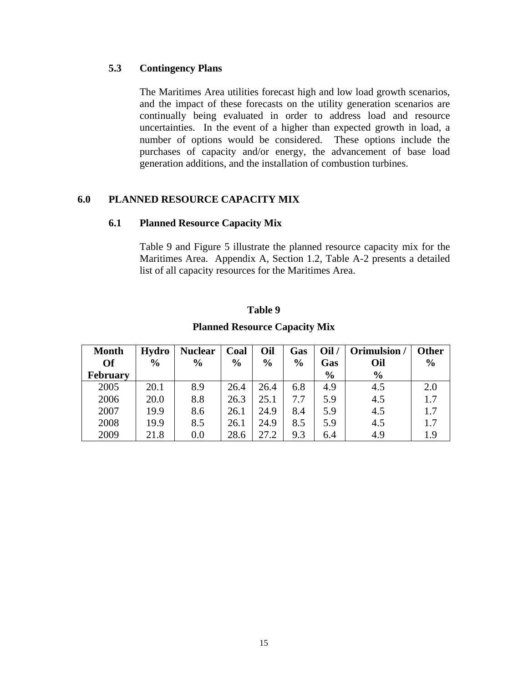### **5.3 Contingency Plans**

The Maritimes Area utilities forecast high and low load growth scenarios, and the impact of these forecasts on the utility generation scenarios are continually being evaluated in order to address load and resource uncertainties. In the event of a higher than expected growth in load, a number of options would be considered. These options include the purchases of capacity and/or energy, the advancement of base load generation additions, and the installation of combustion turbines.

### **6.0 PLANNED RESOURCE CAPACITY MIX**

### **6.1 Planned Resource Capacity Mix**

Table 9 and Figure 5 illustrate the planned resource capacity mix for the Maritimes Area. Appendix A, Section 1.2, Table A-2 presents a detailed list of all capacity resources for the Maritimes Area.

### **Table 9**

### **Planned Resource Capacity Mix**

| <b>Month</b>    | Hydro         | <b>Nuclear</b> | Coal          | Oil           | Gas           | Oil/          | Orimulsion /  | <b>Other</b> |
|-----------------|---------------|----------------|---------------|---------------|---------------|---------------|---------------|--------------|
| <b>Of</b>       | $\frac{6}{9}$ | $\frac{6}{9}$  | $\frac{0}{0}$ | $\frac{6}{6}$ | $\frac{6}{9}$ | Gas           | Oil           | $\%$         |
| <b>February</b> |               |                |               |               |               | $\frac{6}{9}$ | $\frac{6}{6}$ |              |
| 2005            | 20.1          | 8.9            | 26.4          | 26.4          | 6.8           | 4.9           | 4.5           | 2.0          |
| 2006            | 20.0          | 8.8            | 26.3          | 25.1          | 7.7           | 5.9           | 4.5           | 1.7          |
| 2007            | 19.9          | 8.6            | 26.1          | 24.9          | 8.4           | 5.9           | 4.5           | 1.7          |
| 2008            | 19.9          | 8.5            | 26.1          | 24.9          | 8.5           | 5.9           | 4.5           | 1.7          |
| 2009            | 21.8          | 0.0            | 28.6          | 27.2          | 9.3           | 6.4           | 4.9           | 1.9          |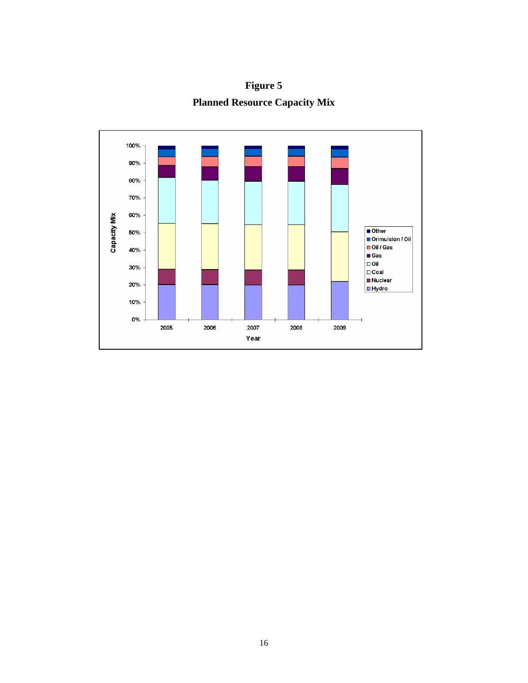**Figure 5 Planned Resource Capacity Mix** 

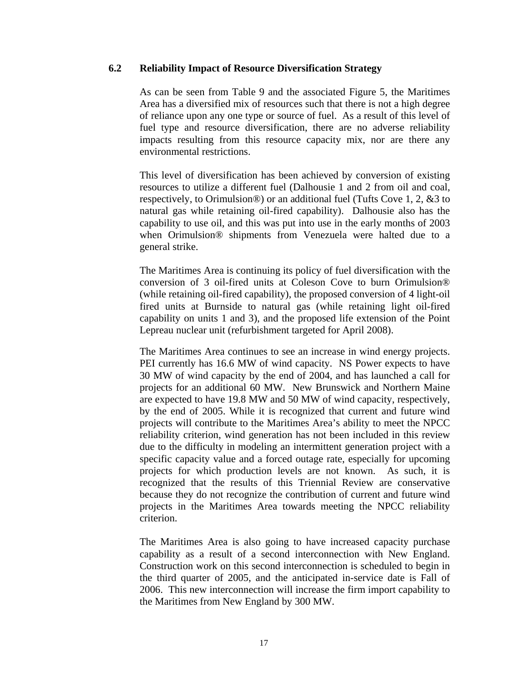### **6.2 Reliability Impact of Resource Diversification Strategy**

As can be seen from Table 9 and the associated Figure 5, the Maritimes Area has a diversified mix of resources such that there is not a high degree of reliance upon any one type or source of fuel. As a result of this level of fuel type and resource diversification, there are no adverse reliability impacts resulting from this resource capacity mix, nor are there any environmental restrictions.

This level of diversification has been achieved by conversion of existing resources to utilize a different fuel (Dalhousie 1 and 2 from oil and coal, respectively, to Orimulsion®) or an additional fuel (Tufts Cove 1, 2, &3 to natural gas while retaining oil-fired capability). Dalhousie also has the capability to use oil, and this was put into use in the early months of 2003 when Orimulsion® shipments from Venezuela were halted due to a general strike.

The Maritimes Area is continuing its policy of fuel diversification with the conversion of 3 oil-fired units at Coleson Cove to burn Orimulsion® (while retaining oil-fired capability), the proposed conversion of 4 light-oil fired units at Burnside to natural gas (while retaining light oil-fired capability on units 1 and 3), and the proposed life extension of the Point Lepreau nuclear unit (refurbishment targeted for April 2008).

The Maritimes Area continues to see an increase in wind energy projects. PEI currently has 16.6 MW of wind capacity. NS Power expects to have 30 MW of wind capacity by the end of 2004, and has launched a call for projects for an additional 60 MW. New Brunswick and Northern Maine are expected to have 19.8 MW and 50 MW of wind capacity, respectively, by the end of 2005. While it is recognized that current and future wind projects will contribute to the Maritimes Area's ability to meet the NPCC reliability criterion, wind generation has not been included in this review due to the difficulty in modeling an intermittent generation project with a specific capacity value and a forced outage rate, especially for upcoming projects for which production levels are not known. As such, it is recognized that the results of this Triennial Review are conservative because they do not recognize the contribution of current and future wind projects in the Maritimes Area towards meeting the NPCC reliability criterion.

The Maritimes Area is also going to have increased capacity purchase capability as a result of a second interconnection with New England. Construction work on this second interconnection is scheduled to begin in the third quarter of 2005, and the anticipated in-service date is Fall of 2006. This new interconnection will increase the firm import capability to the Maritimes from New England by 300 MW.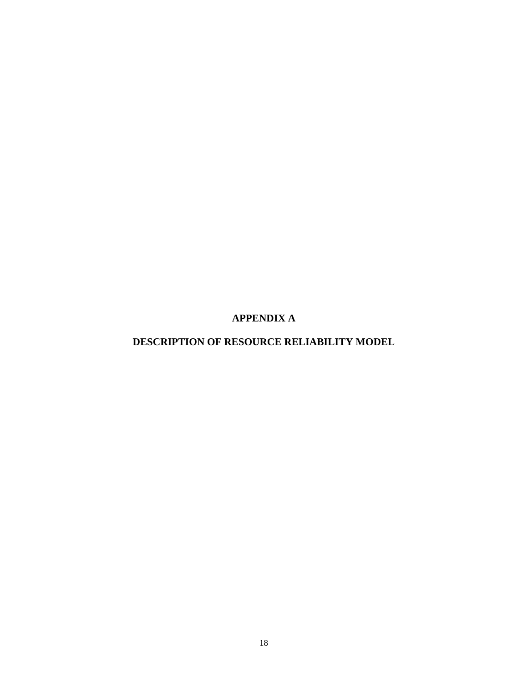**APPENDIX A** 

# **DESCRIPTION OF RESOURCE RELIABILITY MODEL**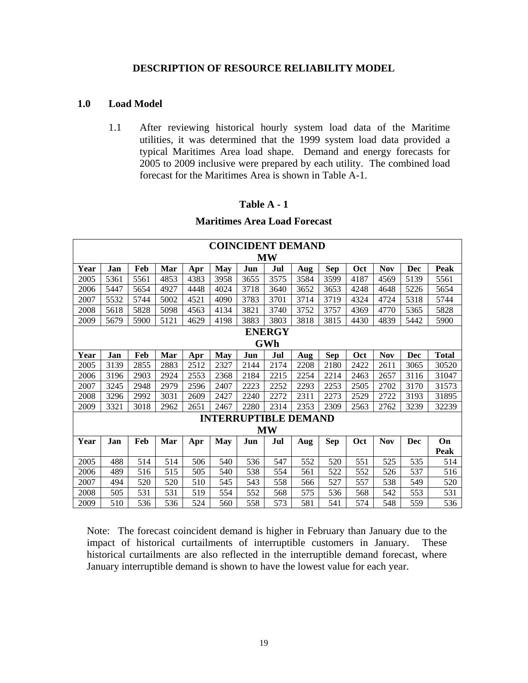#### **DESCRIPTION OF RESOURCE RELIABILITY MODEL**

#### **1.0 Load Model**

1.1 After reviewing historical hourly system load data of the Maritime utilities, it was determined that the 1999 system load data provided a typical Maritimes Area load shape. Demand and energy forecasts for 2005 to 2009 inclusive were prepared by each utility. The combined load forecast for the Maritimes Area is shown in Table A-1.

#### **Table A - 1**

#### **Maritimes Area Load Forecast**

|               | <b>COINCIDENT DEMAND</b> |      |      |      |            |                             |      |      |            |      |            |      |              |
|---------------|--------------------------|------|------|------|------------|-----------------------------|------|------|------------|------|------------|------|--------------|
|               | MW                       |      |      |      |            |                             |      |      |            |      |            |      |              |
| Year          | Jan                      | Feb  | Mar  | Apr  | May        | Jun                         | Jul  | Aug  | <b>Sep</b> | Oct  | <b>Nov</b> | Dec  | Peak         |
| 2005          | 5361                     | 5561 | 4853 | 4383 | 3958       | 3655                        | 3575 | 3584 | 3599       | 4187 | 4569       | 5139 | 5561         |
| 2006          | 5447                     | 5654 | 4927 | 4448 | 4024       | 3718                        | 3640 | 3652 | 3653       | 4248 | 4648       | 5226 | 5654         |
| 2007          | 5532                     | 5744 | 5002 | 4521 | 4090       | 3783                        | 3701 | 3714 | 3719       | 4324 | 4724       | 5318 | 5744         |
| 2008          | 5618                     | 5828 | 5098 | 4563 | 4134       | 3821                        | 3740 | 3752 | 3757       | 4369 | 4770       | 5365 | 5828         |
| 2009          | 5679                     | 5900 | 5121 | 4629 | 4198       | 3883                        | 3803 | 3818 | 3815       | 4430 | 4839       | 5442 | 5900         |
| <b>ENERGY</b> |                          |      |      |      |            |                             |      |      |            |      |            |      |              |
| GWh           |                          |      |      |      |            |                             |      |      |            |      |            |      |              |
| Year          | Jan                      | Feb  | Mar  | Apr  | <b>May</b> | Jun                         | Jul  | Aug  | <b>Sep</b> | Oct  | <b>Nov</b> | Dec  | <b>Total</b> |
| 2005          | 3139                     | 2855 | 2883 | 2512 | 2327       | 2144                        | 2174 | 2208 | 2180       | 2422 | 2611       | 3065 | 30520        |
| 2006          | 3196                     | 2903 | 2924 | 2553 | 2368       | 2184                        | 2215 | 2254 | 2214       | 2463 | 2657       | 3116 | 31047        |
| 2007          | 3245                     | 2948 | 2979 | 2596 | 2407       | 2223                        | 2252 | 2293 | 2253       | 2505 | 2702       | 3170 | 31573        |
| 2008          | 3296                     | 2992 | 3031 | 2609 | 2427       | 2240                        | 2272 | 2311 | 2273       | 2529 | 2722       | 3193 | 31895        |
| 2009          | 3321                     | 3018 | 2962 | 2651 | 2467       | 2280                        | 2314 | 2353 | 2309       | 2563 | 2762       | 3239 | 32239        |
|               |                          |      |      |      |            | <b>INTERRUPTIBLE DEMAND</b> |      |      |            |      |            |      |              |
| <b>MW</b>     |                          |      |      |      |            |                             |      |      |            |      |            |      |              |
| Year          | Jan                      | Feb  | Mar  | Apr  | <b>May</b> | Jun                         | Jul  | Aug  | <b>Sep</b> | Oct  | <b>Nov</b> | Dec  | On           |
|               |                          |      |      |      |            |                             |      |      |            |      |            |      | Peak         |
| 2005          | 488                      | 514  | 514  | 506  | 540        | 536                         | 547  | 552  | 520        | 551  | 525        | 535  | 514          |
| 2006          | 489                      | 516  | 515  | 505  | 540        | 538                         | 554  | 561  | 522        | 552  | 526        | 537  | 516          |
| 2007          | 494                      | 520  | 520  | 510  | 545        | 543                         | 558  | 566  | 527        | 557  | 538        | 549  | 520          |
| 2008          | 505                      | 531  | 531  | 519  | 554        | 552                         | 568  | 575  | 536        | 568  | 542        | 553  | 531          |
| 2009          | 510                      | 536  | 536  | 524  | 560        | 558                         | 573  | 581  | 541        | 574  | 548        | 559  | 536          |

Note: The forecast coincident demand is higher in February than January due to the impact of historical curtailments of interruptible customers in January. These historical curtailments are also reflected in the interruptible demand forecast, where January interruptible demand is shown to have the lowest value for each year.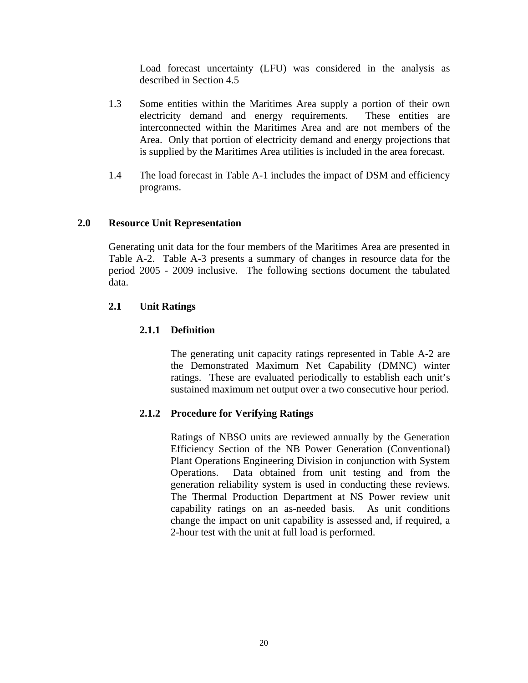Load forecast uncertainty (LFU) was considered in the analysis as described in Section 4.5

- 1.3 Some entities within the Maritimes Area supply a portion of their own electricity demand and energy requirements. These entities are interconnected within the Maritimes Area and are not members of the Area. Only that portion of electricity demand and energy projections that is supplied by the Maritimes Area utilities is included in the area forecast.
- 1.4 The load forecast in Table A-1 includes the impact of DSM and efficiency programs.

### **2.0 Resource Unit Representation**

Generating unit data for the four members of the Maritimes Area are presented in Table A-2. Table A-3 presents a summary of changes in resource data for the period 2005 - 2009 inclusive. The following sections document the tabulated data.

### **2.1 Unit Ratings**

### **2.1.1 Definition**

The generating unit capacity ratings represented in Table A-2 are the Demonstrated Maximum Net Capability (DMNC) winter ratings. These are evaluated periodically to establish each unit's sustained maximum net output over a two consecutive hour period.

### **2.1.2 Procedure for Verifying Ratings**

Ratings of NBSO units are reviewed annually by the Generation Efficiency Section of the NB Power Generation (Conventional) Plant Operations Engineering Division in conjunction with System Operations. Data obtained from unit testing and from the generation reliability system is used in conducting these reviews. The Thermal Production Department at NS Power review unit capability ratings on an as-needed basis. As unit conditions change the impact on unit capability is assessed and, if required, a 2-hour test with the unit at full load is performed.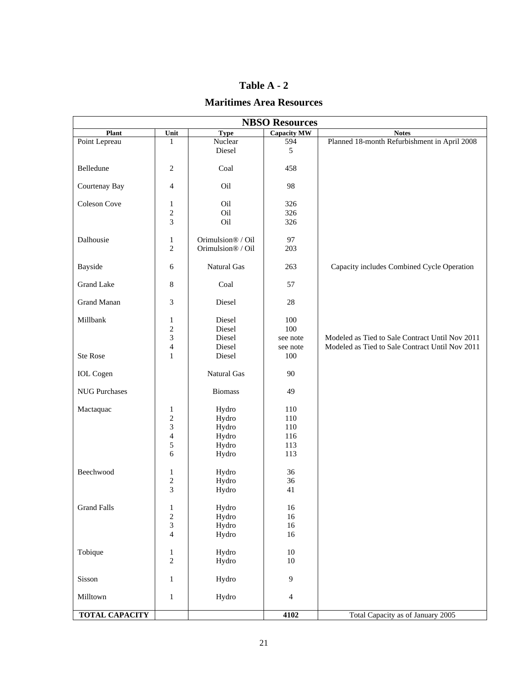### **Table A - 2**

### **Maritimes Area Resources**

| <b>NBSO Resources</b> |                                |                                        |                    |                                                 |  |  |
|-----------------------|--------------------------------|----------------------------------------|--------------------|-------------------------------------------------|--|--|
| Plant                 | Unit                           | <b>Type</b>                            | <b>Capacity MW</b> | <b>Notes</b>                                    |  |  |
| Point Lepreau         | 1                              | Nuclear<br>Diesel                      | 594<br>5           | Planned 18-month Refurbishment in April 2008    |  |  |
| Belledune             | $\overline{c}$                 | Coal                                   | 458                |                                                 |  |  |
| Courtenay Bay         | $\overline{4}$                 | Oil                                    | 98                 |                                                 |  |  |
| Coleson Cove          | $\mathbf{1}$                   | Oil<br>Oil                             | 326<br>326         |                                                 |  |  |
|                       | $\sqrt{2}$<br>3                | Oil                                    | 326                |                                                 |  |  |
| Dalhousie             | $\mathbf{1}$<br>$\overline{2}$ | Orimulsion® / Oil<br>Orimulsion® / Oil | 97<br>203          |                                                 |  |  |
| <b>Bayside</b>        | 6                              | Natural Gas                            | 263                | Capacity includes Combined Cycle Operation      |  |  |
| <b>Grand Lake</b>     | $8\,$                          | Coal                                   | 57                 |                                                 |  |  |
| <b>Grand Manan</b>    | 3                              | Diesel                                 | $28\,$             |                                                 |  |  |
| Millbank              | $\mathbf{1}$                   | Diesel                                 | 100                |                                                 |  |  |
|                       | $\sqrt{2}$                     | Diesel                                 | 100                |                                                 |  |  |
|                       | $\overline{3}$                 | Diesel                                 | see note           | Modeled as Tied to Sale Contract Until Nov 2011 |  |  |
|                       | $\overline{4}$                 | Diesel                                 | see note           | Modeled as Tied to Sale Contract Until Nov 2011 |  |  |
| <b>Ste Rose</b>       | $\mathbf{1}$                   | Diesel                                 | 100                |                                                 |  |  |
| <b>IOL</b> Cogen      |                                | Natural Gas                            | 90                 |                                                 |  |  |
| <b>NUG Purchases</b>  |                                | <b>Biomass</b>                         | 49                 |                                                 |  |  |
| Mactaquac             | $\mathbf{1}$                   | Hydro                                  | 110                |                                                 |  |  |
|                       | $\overline{c}$                 | Hydro                                  | 110                |                                                 |  |  |
|                       | $\overline{\mathbf{3}}$        | Hydro                                  | 110                |                                                 |  |  |
|                       | $\overline{4}$                 | Hydro                                  | 116                |                                                 |  |  |
|                       | 5                              | Hydro                                  | 113                |                                                 |  |  |
|                       | $6\,$                          | Hydro                                  | 113                |                                                 |  |  |
|                       |                                |                                        |                    |                                                 |  |  |
| Beechwood             | $\mathbf{1}$                   | Hydro                                  | 36                 |                                                 |  |  |
|                       | $\boldsymbol{2}$               | Hydro                                  | 36                 |                                                 |  |  |
|                       | 3                              | Hydro                                  | 41                 |                                                 |  |  |
| <b>Grand Falls</b>    | $\mathbf{1}$                   | Hydro                                  | 16                 |                                                 |  |  |
|                       |                                | Hydro                                  | 16                 |                                                 |  |  |
|                       | $\boldsymbol{2}$<br>3          |                                        | 16                 |                                                 |  |  |
|                       | $\overline{4}$                 | Hydro<br>Hydro                         |                    |                                                 |  |  |
|                       |                                |                                        | 16                 |                                                 |  |  |
| Tobique               | $\mathbf{1}$                   | Hydro                                  | $10\,$             |                                                 |  |  |
|                       | $\overline{c}$                 | Hydro                                  | 10                 |                                                 |  |  |
| Sisson                | $\mathbf{1}$                   | Hydro                                  | 9                  |                                                 |  |  |
| Milltown              | $\mathbf{1}$                   | Hydro                                  | $\overline{4}$     |                                                 |  |  |
| <b>TOTAL CAPACITY</b> |                                |                                        | 4102               | Total Capacity as of January 2005               |  |  |
|                       |                                |                                        |                    |                                                 |  |  |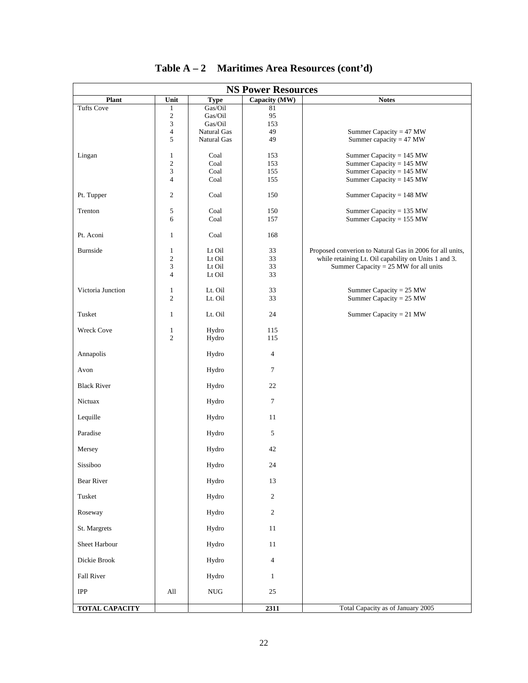| <b>NS Power Resources</b> |                             |                    |                |                                                          |  |  |
|---------------------------|-----------------------------|--------------------|----------------|----------------------------------------------------------|--|--|
| Plant                     | Unit                        | <b>Type</b>        | Capacity (MW)  | <b>Notes</b>                                             |  |  |
| <b>Tufts Cove</b>         | 1                           | Gas/Oil            | 81<br>95       |                                                          |  |  |
|                           | $\sqrt{2}$<br>3             | Gas/Oil<br>Gas/Oil | 153            |                                                          |  |  |
|                           | $\overline{\mathbf{4}}$     | Natural Gas        | 49             | Summer Capacity = $47$ MW                                |  |  |
|                           | 5                           | <b>Natural Gas</b> | 49             | Summer capacity = $47$ MW                                |  |  |
| Lingan                    | 1                           | Coal               | 153            | Summer Capacity = 145 MW                                 |  |  |
|                           | $\mathfrak{2}$              | Coal               | 153            | Summer Capacity = 145 MW                                 |  |  |
|                           | 3                           | Coal               | 155            | Summer Capacity = $145$ MW                               |  |  |
|                           | $\overline{\mathbf{4}}$     | Coal               | 155            | Summer Capacity = $145$ MW                               |  |  |
| Pt. Tupper                | $\boldsymbol{2}$            | Coal               | 150            | Summer Capacity = $148$ MW                               |  |  |
|                           |                             |                    |                |                                                          |  |  |
| Trenton                   | 5<br>6                      | Coal<br>Coal       | 150<br>157     | Summer Capacity = 135 MW<br>Summer Capacity = 155 MW     |  |  |
|                           |                             |                    |                |                                                          |  |  |
| Pt. Aconi                 | $\mathbf{1}$                | Coal               | 168            |                                                          |  |  |
| Burnside                  | $\mathbf{1}$                | Lt Oil             | 33             | Proposed converion to Natural Gas in 2006 for all units, |  |  |
|                           | $\mathfrak{2}$              | Lt Oil             | 33             | while retaining Lt. Oil capability on Units 1 and 3.     |  |  |
|                           | $\ensuremath{\mathfrak{Z}}$ | Lt Oil             | 33             | Summer Capacity = $25$ MW for all units                  |  |  |
|                           | $\overline{4}$              | Lt Oil             | 33             |                                                          |  |  |
| Victoria Junction         | $\mathbf{1}$                | Lt. Oil            | 33             | Summer Capacity = $25$ MW                                |  |  |
|                           | $\overline{c}$              | Lt. Oil            | 33             | Summer Capacity = $25$ MW                                |  |  |
| Tusket                    |                             |                    | 24             |                                                          |  |  |
|                           | $\mathbf{1}$                | Lt. Oil            |                | Summer Capacity = $21$ MW                                |  |  |
| <b>Wreck Cove</b>         | $\mathbf{1}$                | Hydro              | 115            |                                                          |  |  |
|                           | $\overline{c}$              | Hydro              | 115            |                                                          |  |  |
| Annapolis                 |                             | Hydro              | $\overline{4}$ |                                                          |  |  |
|                           |                             |                    |                |                                                          |  |  |
| Avon                      |                             | Hydro              | $\tau$         |                                                          |  |  |
| <b>Black River</b>        |                             | Hydro              | 22             |                                                          |  |  |
|                           |                             |                    |                |                                                          |  |  |
| Nictuax                   |                             | Hydro              | $\tau$         |                                                          |  |  |
| Lequille                  |                             | Hydro              | 11             |                                                          |  |  |
|                           |                             |                    |                |                                                          |  |  |
| Paradise                  |                             | Hydro              | 5              |                                                          |  |  |
| Mersey                    |                             | Hydro              | 42             |                                                          |  |  |
|                           |                             |                    |                |                                                          |  |  |
| Sissiboo                  |                             | Hydro              | 24             |                                                          |  |  |
| <b>Bear River</b>         |                             | Hydro              | 13             |                                                          |  |  |
|                           |                             |                    |                |                                                          |  |  |
| Tusket                    |                             | Hydro              | $\sqrt{2}$     |                                                          |  |  |
| Roseway                   |                             | Hydro              | $\sqrt{2}$     |                                                          |  |  |
|                           |                             |                    |                |                                                          |  |  |
| St. Margrets              |                             | Hydro              | $11\,$         |                                                          |  |  |
| Sheet Harbour             |                             | Hydro              | $11\,$         |                                                          |  |  |
|                           |                             |                    |                |                                                          |  |  |
| Dickie Brook              |                             | Hydro              | $\overline{4}$ |                                                          |  |  |
| Fall River                |                             | Hydro              | $\mathbf{1}$   |                                                          |  |  |
|                           |                             |                    |                |                                                          |  |  |
| $_{\rm IPP}$              | All                         | NUG                | 25             |                                                          |  |  |
| <b>TOTAL CAPACITY</b>     |                             |                    | 2311           | Total Capacity as of January 2005                        |  |  |

| Table A – 2 | <b>Maritimes Area Resources (cont'd)</b> |  |  |
|-------------|------------------------------------------|--|--|
|-------------|------------------------------------------|--|--|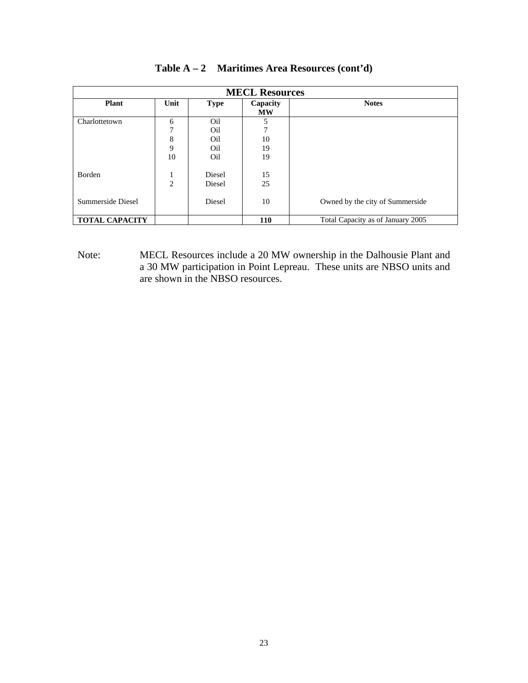| <b>MECL Resources</b> |                |             |                       |                                   |  |  |
|-----------------------|----------------|-------------|-----------------------|-----------------------------------|--|--|
| <b>Plant</b>          | Unit           | <b>Type</b> | Capacity<br><b>MW</b> | <b>Notes</b>                      |  |  |
| Charlottetown         | 6              | Oil         | 5                     |                                   |  |  |
|                       | 7              | Oil         | 7                     |                                   |  |  |
|                       | 8              | Oil         | 10                    |                                   |  |  |
|                       | 9              | Oil         | 19                    |                                   |  |  |
|                       | 10             | Oil         | 19                    |                                   |  |  |
| <b>Borden</b>         | 1              | Diesel      | 15                    |                                   |  |  |
|                       | $\overline{2}$ | Diesel      | 25                    |                                   |  |  |
| Summerside Diesel     |                | Diesel      | 10                    | Owned by the city of Summerside   |  |  |
| <b>TOTAL CAPACITY</b> |                |             | 110                   | Total Capacity as of January 2005 |  |  |

| Table $A - 2$ Maritimes Area Resources (cont'd) |  |  |  |  |  |
|-------------------------------------------------|--|--|--|--|--|
|-------------------------------------------------|--|--|--|--|--|

Note: MECL Resources include a 20 MW ownership in the Dalhousie Plant and a 30 MW participation in Point Lepreau. These units are NBSO units and are shown in the NBSO resources.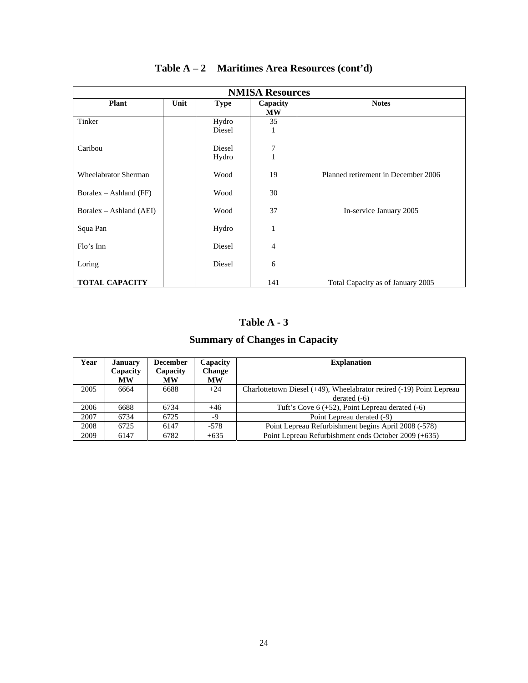| <b>NMISA Resources</b>      |      |                 |                       |                                     |  |  |
|-----------------------------|------|-----------------|-----------------------|-------------------------------------|--|--|
| <b>Plant</b>                | Unit | <b>Type</b>     | Capacity<br><b>MW</b> | <b>Notes</b>                        |  |  |
| Tinker                      |      | Hydro<br>Diesel | 35<br>1               |                                     |  |  |
| Caribou                     |      | Diesel<br>Hydro | 7<br>$\mathbf{1}$     |                                     |  |  |
| <b>Wheelabrator Sherman</b> |      | Wood            | 19                    | Planned retirement in December 2006 |  |  |
| Boralex $-$ Ashland (FF)    |      | Wood            | 30                    |                                     |  |  |
| Boralex – Ashland (AEI)     |      | Wood            | 37                    | In-service January 2005             |  |  |
| Squa Pan                    |      | Hydro           | 1                     |                                     |  |  |
| Flo's Inn                   |      | Diesel          | $\overline{4}$        |                                     |  |  |
| Loring                      |      | Diesel          | 6                     |                                     |  |  |
| <b>TOTAL CAPACITY</b>       |      |                 | 141                   | Total Capacity as of January 2005   |  |  |

**Table A – 2 Maritimes Area Resources (cont'd)** 

### **Table A - 3**

# **Summary of Changes in Capacity**

| Year | <b>January</b><br>Capacity<br><b>MW</b> | <b>December</b><br>Capacity<br><b>MW</b> | Capacity<br><b>Change</b><br><b>MW</b> | <b>Explanation</b>                                                   |
|------|-----------------------------------------|------------------------------------------|----------------------------------------|----------------------------------------------------------------------|
| 2005 | 6664                                    | 6688                                     | $+24$                                  | Charlottetown Diesel (+49), Wheelabrator retired (-19) Point Lepreau |
|      |                                         |                                          |                                        | derated $(-6)$                                                       |
| 2006 | 6688                                    | 6734                                     | $+46$                                  | Tuft's Cove $6 (+52)$ , Point Lepreau derated $(-6)$                 |
| 2007 | 6734                                    | 6725                                     | -9                                     | Point Lepreau derated (-9)                                           |
| 2008 | 6725                                    | 6147                                     | $-578$                                 | Point Lepreau Refurbishment begins April 2008 (-578)                 |
| 2009 | 6147                                    | 6782                                     | $+635$                                 | Point Lepreau Refurbishment ends October 2009 (+635)                 |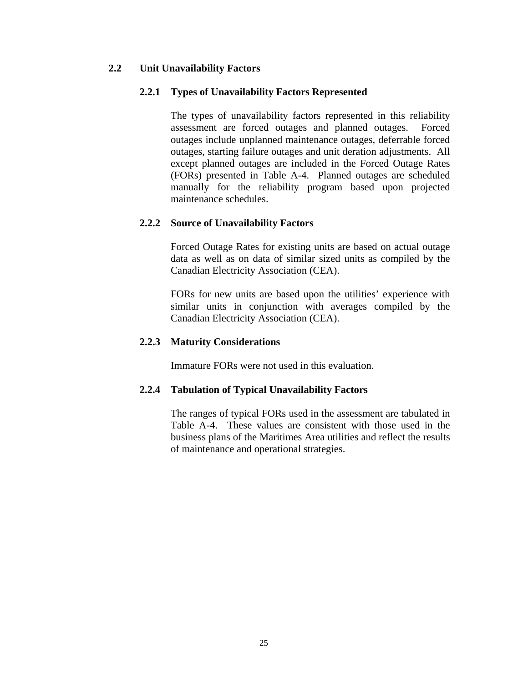### **2.2 Unit Unavailability Factors**

### **2.2.1 Types of Unavailability Factors Represented**

The types of unavailability factors represented in this reliability assessment are forced outages and planned outages. Forced outages include unplanned maintenance outages, deferrable forced outages, starting failure outages and unit deration adjustments. All except planned outages are included in the Forced Outage Rates (FORs) presented in Table A-4. Planned outages are scheduled manually for the reliability program based upon projected maintenance schedules.

### **2.2.2 Source of Unavailability Factors**

Forced Outage Rates for existing units are based on actual outage data as well as on data of similar sized units as compiled by the Canadian Electricity Association (CEA).

FORs for new units are based upon the utilities' experience with similar units in conjunction with averages compiled by the Canadian Electricity Association (CEA).

### **2.2.3 Maturity Considerations**

Immature FORs were not used in this evaluation.

### **2.2.4 Tabulation of Typical Unavailability Factors**

The ranges of typical FORs used in the assessment are tabulated in Table A-4. These values are consistent with those used in the business plans of the Maritimes Area utilities and reflect the results of maintenance and operational strategies.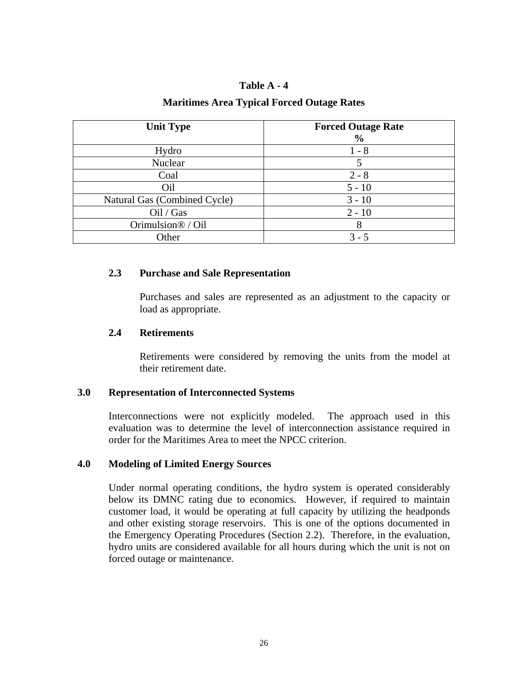### **Table A - 4**

### **Maritimes Area Typical Forced Outage Rates**

| <b>Unit Type</b>             | <b>Forced Outage Rate</b><br>$\frac{6}{6}$ |
|------------------------------|--------------------------------------------|
| Hydro                        | $1 - 8$                                    |
| Nuclear                      | 5                                          |
| Coal                         | $2 - 8$                                    |
| Oil                          | $5 - 10$                                   |
| Natural Gas (Combined Cycle) | $3 - 10$                                   |
| Oil / Gas                    | $2 - 10$                                   |
| Orimulsion® / Oil            | 8                                          |
| Other                        | $3 - 5$                                    |

### **2.3 Purchase and Sale Representation**

Purchases and sales are represented as an adjustment to the capacity or load as appropriate.

### **2.4 Retirements**

Retirements were considered by removing the units from the model at their retirement date.

#### **3.0 Representation of Interconnected Systems**

Interconnections were not explicitly modeled. The approach used in this evaluation was to determine the level of interconnection assistance required in order for the Maritimes Area to meet the NPCC criterion.

### **4.0 Modeling of Limited Energy Sources**

Under normal operating conditions, the hydro system is operated considerably below its DMNC rating due to economics. However, if required to maintain customer load, it would be operating at full capacity by utilizing the headponds and other existing storage reservoirs. This is one of the options documented in the Emergency Operating Procedures (Section 2.2). Therefore, in the evaluation, hydro units are considered available for all hours during which the unit is not on forced outage or maintenance.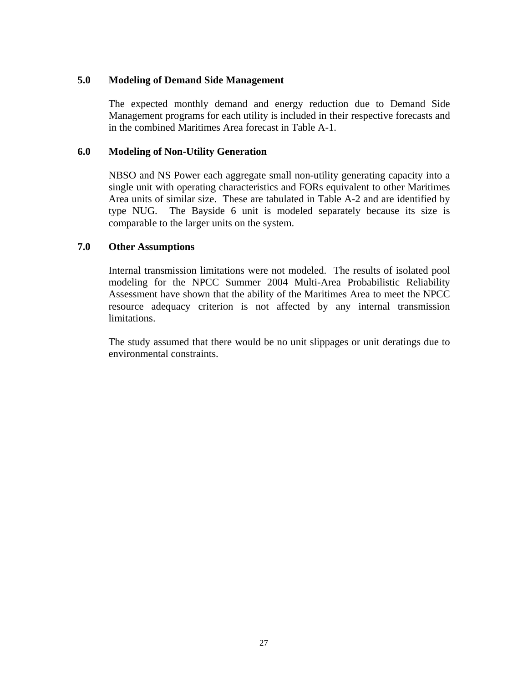### **5.0 Modeling of Demand Side Management**

The expected monthly demand and energy reduction due to Demand Side Management programs for each utility is included in their respective forecasts and in the combined Maritimes Area forecast in Table A-1.

### **6.0 Modeling of Non-Utility Generation**

NBSO and NS Power each aggregate small non-utility generating capacity into a single unit with operating characteristics and FORs equivalent to other Maritimes Area units of similar size. These are tabulated in Table A-2 and are identified by type NUG. The Bayside 6 unit is modeled separately because its size is comparable to the larger units on the system.

### **7.0 Other Assumptions**

Internal transmission limitations were not modeled. The results of isolated pool modeling for the NPCC Summer 2004 Multi-Area Probabilistic Reliability Assessment have shown that the ability of the Maritimes Area to meet the NPCC resource adequacy criterion is not affected by any internal transmission limitations.

The study assumed that there would be no unit slippages or unit deratings due to environmental constraints.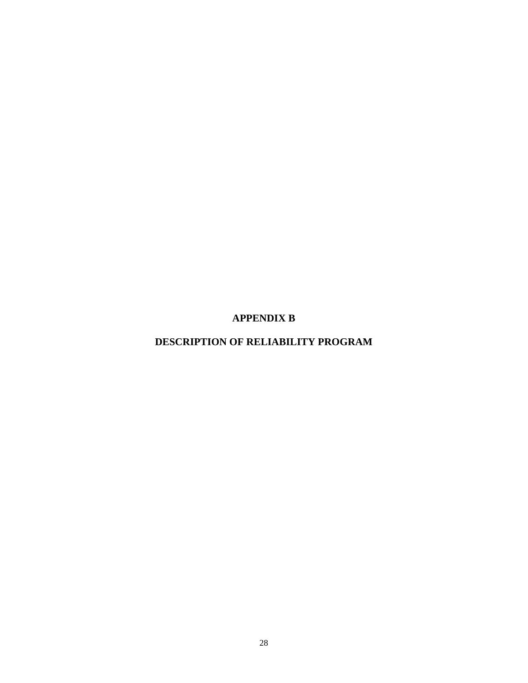**APPENDIX B** 

**DESCRIPTION OF RELIABILITY PROGRAM**